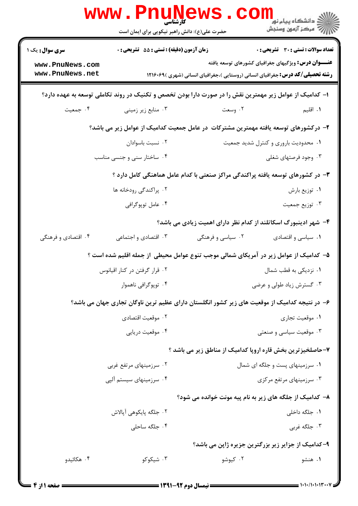|                                                                                                         | WWW.Pnung<br>حضرت علی(ع): دانش راهبر نیکویی برای ایمان است                                    |                                                                                      | ڪ دانشڪاه پيا <sub>م</sub> نور<br><mark>√</mark> مرڪز آزمون وسنڊش |  |  |
|---------------------------------------------------------------------------------------------------------|-----------------------------------------------------------------------------------------------|--------------------------------------------------------------------------------------|-------------------------------------------------------------------|--|--|
| <b>سری سوال :</b> یک ۱                                                                                  | زمان آزمون (دقیقه) : تستی : 55 گشریحی : 0                                                     |                                                                                      | <b>تعداد سوالات : تستی : 30 ٪ تشریحی : 0</b>                      |  |  |
| www.PnuNews.com<br>www.PnuNews.net                                                                      |                                                                                               | <b>رشته تحصیلی/کد درس:</b> جغرافیای انسانی (روستایی )،جغرافیای انسانی (شهری )۱۲۱۶۰۶۹ | <b>عنـــوان درس:</b> ویژگیهای جغرافیای کشورهای توسعه یافته        |  |  |
| ا– کدامیک از عوامل زیر مهمترین نقش را در صورت دارا بودن تخصص و تکنیک در روند تکاملی توسعه به عهده دارد؟ |                                                                                               |                                                                                      |                                                                   |  |  |
| ۰۴ جمعیت                                                                                                | ۰۳ منابع زیر زمینی                                                                            | ۰۲ وسعت                                                                              | ۰۱ اقلیم                                                          |  |  |
|                                                                                                         | ۲– درکشورهای توسعه یافته مهمترین مشترکات در عامل جمعیت کدامیک از عوامل زیر می باشد؟           |                                                                                      |                                                                   |  |  |
|                                                                                                         | ۰۲ نسبت باسوادان                                                                              |                                                                                      | ۰۱ محدودیت باروری و کنترل شدید جمعیت                              |  |  |
|                                                                                                         | ۰۴ ساختار سنی و جنسی مناسب                                                                    |                                                                                      | ۰۳ وجود فرصتهای شغلی                                              |  |  |
|                                                                                                         |                                                                                               | ۳- در کشورهای توسعه یافته پراکندگی مراکز صنعتی با کدام عامل هماهنگی کامل دارد ؟      |                                                                   |  |  |
|                                                                                                         | ۰۲ پراکندگی رودخانه ها                                                                        |                                                                                      | ٠١ توزيع بارش                                                     |  |  |
|                                                                                                         | ۰۴ عامل توپوگرافي                                                                             |                                                                                      | ۰۳ توزیع جمعیت                                                    |  |  |
|                                                                                                         |                                                                                               | ۴- شهر ادینبورگ اسکاتلند از کدام نظر دارای اهمیت زیادی می باشد؟                      |                                                                   |  |  |
| ۰۴ اقتصادی و فرهنگی                                                                                     | ۰۳ اقتصادی و اجتماعی                                                                          | ۰۲ سیاسی و فرهنگی                                                                    | ۰۱ سیاسی و اقتصادی                                                |  |  |
|                                                                                                         | ۵– کدامیک از عوامل زیر در آمریکای شمالی موجب تنوع عوامل محیطی ًاز جمله اقلیم شده است ؟        |                                                                                      |                                                                   |  |  |
|                                                                                                         | ۰۲ قرار گرفتن در کنار اقیانوس                                                                 |                                                                                      | ۰۱ نزدیکی به قطب شمال                                             |  |  |
|                                                                                                         | ۰۴ توپوگرافي ناهموار                                                                          |                                                                                      | ۰۳ گسترش زیاد طولی و عرضی                                         |  |  |
|                                                                                                         | ۶– در نتیجه کدامیک از موقعیت های زیر کشور انگلستان دارای عظیم ترین ناوگان تجاری جهان می باشد؟ |                                                                                      |                                                                   |  |  |
|                                                                                                         | ۰۲ موقعیت اقتصادی                                                                             |                                                                                      | ۰۱ موقعیت تجاری                                                   |  |  |
|                                                                                                         | ۰۴ موقعیت دریایی                                                                              |                                                                                      | ۰۳ موقعیت سیاسی و صنعتی                                           |  |  |
|                                                                                                         |                                                                                               | ۷-حاصلخیزترین بخش قاره اروپا کدامیک از مناطق زیر می باشد ؟                           |                                                                   |  |  |
|                                                                                                         | ۰۲ سرزمینهای مرتفع غربی                                                                       |                                                                                      | ۰۱ سرزمینهای پست و جلگه ای شمال                                   |  |  |
|                                                                                                         | ۰۴ سرزمینهای سیستم آلپی                                                                       |                                                                                      | ۰۳ سرزمینهای مرتفع مرکزی                                          |  |  |
|                                                                                                         |                                                                                               | ۸– کدامیک از جلگه های زیر به نام پیه مونت خوانده می شود؟                             |                                                                   |  |  |
|                                                                                                         | ٢. جلگه پايكوهي آپالاش                                                                        |                                                                                      | ۰۱ جلگه داخل <sub>ی</sub>                                         |  |  |
|                                                                                                         | ۰۴ جلگه ساحلی                                                                                 |                                                                                      | ۰۳ جلگه غربی                                                      |  |  |
|                                                                                                         |                                                                                               | ۹– کدامیک از جزایر زیر بزرگترین جزیره ژاپن می باشد؟                                  |                                                                   |  |  |
| ۰۴ هکائیدو                                                                                              | ۰۳ شیکوکو                                                                                     | ۰۲ کیوشو                                                                             | ۰۱ هنشو                                                           |  |  |
|                                                                                                         |                                                                                               |                                                                                      |                                                                   |  |  |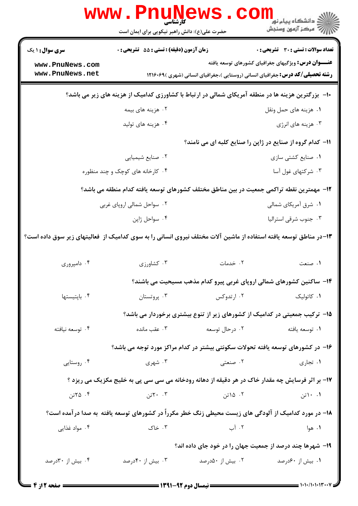|                                                                                                                   | WWW . PI<br>کارشناسی<br>حضرت علی(ع): دانش راهبر نیکویی برای ایمان است                           |                  | ڪ دانشڪاه پيا <sub>م</sub> نور<br>ا√ مرڪز آزمون وسنجش      |  |  |
|-------------------------------------------------------------------------------------------------------------------|-------------------------------------------------------------------------------------------------|------------------|------------------------------------------------------------|--|--|
| <b>سری سوال : ۱ یک</b>                                                                                            | زمان آزمون (دقیقه) : تستی : 55 آشریحی : 0                                                       |                  | تعداد سوالات : تستى : 30 - تشريحي : 0                      |  |  |
| www.PnuNews.com                                                                                                   |                                                                                                 |                  | <b>عنـــوان درس:</b> ویژگیهای جغرافیای کشورهای توسعه یافته |  |  |
| www.PnuNews.net                                                                                                   | <b>رشته تحصیلی/کد درس:</b> جغرافیای انسانی (روستایی )،جغرافیای انسانی (شهری )۶۹۰/۱۲۱۶           |                  |                                                            |  |  |
| ۱۰− بزرگترین هزینه ها در منطقه آمریکای شمالی در ارتباط با کشاورزی کدامیک از هزینه های زیر می باشد؟                |                                                                                                 |                  |                                                            |  |  |
|                                                                                                                   | ۰۲ هزینه های بیمه                                                                               |                  | ٠١ هزينه هاي حمل ونقل                                      |  |  |
|                                                                                                                   | ۰۴ هزینه های تولید                                                                              |                  | ۰۳ هزینه های انرژی                                         |  |  |
| 11- کدام گروه از صنایع در ژاپن را صنایع کلبه ای می نامند؟                                                         |                                                                                                 |                  |                                                            |  |  |
|                                                                                                                   | ۰۲ صنایع شیمیایی                                                                                |                  | ٠١. صنايع كشتى سازى                                        |  |  |
|                                                                                                                   | ۰۴ کارخانه های کوچک و چند منظوره                                                                |                  | ۰۳ شرکتهای غول آسا                                         |  |  |
| ۱۲– مهمترین نقطه تراکمی جمعیت در بین مناطق مختلف کشورهای توسعه یافته کدام منطقه می باشد؟                          |                                                                                                 |                  |                                                            |  |  |
|                                                                                                                   | ۰۲ سواحل شمالی اروپای غربی                                                                      |                  | ۰۱ شرق آمریکای شمالی                                       |  |  |
|                                                                                                                   | ۰۴ سواحل ژاپن                                                                                   |                  | ۰۳ جنوب شرقی استرالیا                                      |  |  |
| ۱۳–در مناطق توسعه یافته استفاده از ماشین آلات مختلف نیروی انسانی را به سوی کدامیک از  فعالیتهای زیر سوق داده است؟ |                                                                                                 |                  |                                                            |  |  |
| ۰۴ دامپروری                                                                                                       | ۰۳ کشاورزی                                                                                      | ٠٢ خدمات         | ١. صنعت                                                    |  |  |
|                                                                                                                   | ۱۴- ساکنین کشورهای شمالی اروپای غربی پیرو کدام مذهب مسیحیت می باشند؟                            |                  |                                                            |  |  |
| ۰۴ باپتيستها                                                                                                      | ۰۳ پروتستان                                                                                     | ۰۲ ارتدوکس       | ۰۱ کاتولیک                                                 |  |  |
|                                                                                                                   | ۱۵– ترکیب جمعیتی در کدامیک از کشورهای زیر از تنوع بیشتری برخوردار می باشد؟                      |                  |                                                            |  |  |
| ۰۴ توسعه نيافته                                                                                                   | عقب مانده $\cdot$ ۳                                                                             | ۰۲ درحال توسعه   | ٠١ توسعه يافته                                             |  |  |
|                                                                                                                   | ۱۶– در کشورهای توسعه یافته تحولات سکونتی بیشتر در کدام مراکز مورد توجه می باشد؟                 |                  |                                                            |  |  |
| ۰۴ روستایی                                                                                                        | ۰۳ شهری                                                                                         | ۰۲ صنعتی         | ۰۱ تجاري                                                   |  |  |
|                                                                                                                   | ۱۷- بر اثر فرسایش چه مقدار خاک در هر دقیقه از دهانه رودخانه می سی سی پی به خلیج مکزیک می ریزد ؟ |                  |                                                            |  |  |
| ۰۴ ۲۵تن                                                                                                           | ۰۰ ۲۰تن                                                                                         | ۰۲ ۱۵تن          | ۰. ۱۰تن                                                    |  |  |
| ۱۸– در مورد کدامیک از آلودگی های زیست محیطی زنگ خطر مکرراً در کشورهای توسعه یافته به صدا درآمده است؟              |                                                                                                 |                  |                                                            |  |  |
| ۰۴ مواد غذایی                                                                                                     | ۰۳ خاک                                                                                          | ۰۲ آب            | ۰۱ هوا                                                     |  |  |
|                                                                                                                   | ۱۹- شهرها چند درصد از جمعیت جهان را در خود جای داده اند؟                                        |                  |                                                            |  |  |
| ۰۴ بیش از ۳۰درصد                                                                                                  | ۰۳ بیش از ۴۰درصد                                                                                | ۰۲ بیش از ۵۰درصد | ۰۱ بیش از ۶۰درصد                                           |  |  |
|                                                                                                                   |                                                                                                 |                  | $\frac{1}{2}$ 1.1. (1.1.15.00)                             |  |  |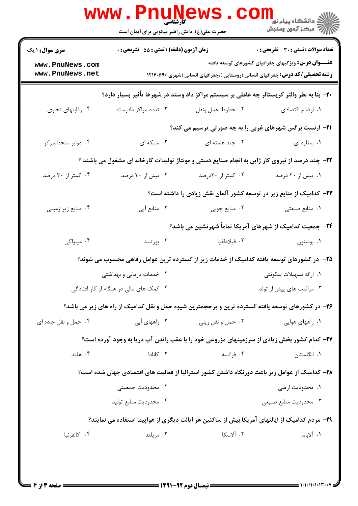|                                                                                                 | <b>www . Pnune</b><br>حضرت علی(ع): دانش راهبر نیکویی برای ایمان است |                                                                                                       | ر دانشکاه پيام نور <mark>−</mark><br>ار = مرکز آزمون وسنجش  |  |  |
|-------------------------------------------------------------------------------------------------|---------------------------------------------------------------------|-------------------------------------------------------------------------------------------------------|-------------------------------------------------------------|--|--|
| <b>سری سوال : ۱ یک</b>                                                                          | زمان آزمون (دقیقه) : تستی : 55 آتشریحی : 0                          |                                                                                                       | تعداد سوالات : تستي : 30 ٪ تشريحي : 0                       |  |  |
| www.PnuNews.com<br>www.PnuNews.net                                                              |                                                                     | <b>رشته تحصیلی/کد درس:</b> جغرافیای انسانی (روستایی )،جغرافیای انسانی (شهری )۱۲۱۶۰۶۹                  | <b>عنــــوان درس:</b> ویژگیهای جغرافیای کشورهای توسعه یافته |  |  |
| ۲۰- بنا به نظر والتر کریستالر چه عاملی بر سیستم مراکز داد وستد در شهرها تأثیر بسیار دارد؟       |                                                                     |                                                                                                       |                                                             |  |  |
| ۰۴ رقابتهای تجاری                                                                               | ۰۳ تعدد مراکز دادوستد                                               | ٠٢ خطوط حمل ونقل                                                                                      | ٠١. اوضاع اقتصادي                                           |  |  |
|                                                                                                 |                                                                     | <b>۲۱</b> - ارنست برگس شهرهای غربی را به چه صورتی ترسیم می کند؟                                       |                                                             |  |  |
| ۰۴ دوایر متحدالمرکز                                                                             | ۰۳ شبکه ای                                                          | ۰۲ چند هسته ای                                                                                        | ٠١ ستاره اي                                                 |  |  |
| ۲۲- چند درصد از نیروی کار ژاپن به انجام صنایع دستی و مونتاژ تولیدات کارخانه ای مشغول می باشند ؟ |                                                                     |                                                                                                       |                                                             |  |  |
| ۰۴ کمتر از ۳۰ درصد                                                                              | ۰۳ بیش از ۳۰ درصد                                                   | ۰۲ کمتر از ۲۰درصد                                                                                     | ۰۱ بیش از ۲۰ درصد                                           |  |  |
|                                                                                                 |                                                                     | ۲۳– کدامیک از منابع زیر در توسعه کشور آلمان نقش زیادی را داشته است؟                                   |                                                             |  |  |
| ۰۴ منابع زیر زمینی                                                                              | ۰۳ منابع آبي                                                        | ۰۲ منابع چوبی                                                                                         | ۰۱ منابع صنعتی                                              |  |  |
|                                                                                                 | ۲۴– جمعیت کدامیک از شهرهای آمریکا تماماً شهرنشین می باشد؟           |                                                                                                       |                                                             |  |  |
| ۰۴ میلواکی                                                                                      | ۰۳ پورتلند                                                          | ۰۲ فیلادلفیا                                                                                          | ۰۱ بوستون                                                   |  |  |
|                                                                                                 |                                                                     | ۲۵– در کشورهای توسعه یافته کدامیک از خدمات زیر از گسترده ترین عوامل رفاهی محسوب می شوند؟              |                                                             |  |  |
|                                                                                                 | ۰۲ خدمات درمانی و بهداشتی                                           |                                                                                                       | ۰۱ ارائه تسهیلات سکونتی                                     |  |  |
|                                                                                                 | ۰۴ کمک های مالی در هنگام از کار افتادگی                             |                                                                                                       | ۰۳ مراقبت های پیش از تولد                                   |  |  |
|                                                                                                 |                                                                     | ۲۶- در کشورهای توسعه یافته گسترده ترین و پرحجمترین شیوه حمل و نقل کدامیک از راه های زیر می باشد؟      |                                                             |  |  |
| ۰۴ حمل و نقل جاده ای                                                                            | ۰۳ راههای آبی                                                       | ۰۲ حمل و نقل ريلي                                                                                     | ۰۱ راههای هوایی                                             |  |  |
| ۲۷– کدام کشور بخش زیادی از سرزمینهای مزروعی خود را با عقب راندن آب دریا به وجود آورده است؟      |                                                                     |                                                                                                       |                                                             |  |  |
| ۰۴ هلند                                                                                         | ۰۳ کانادا                                                           | ۰۲ فرانسه                                                                                             | ۰۱ انگلستان                                                 |  |  |
| ۲۸– کدامیک از عوامل زیر باعث دورنگاه داشتن کشور استرالیا از فعالیت های اقتصادی جهان شده است؟    |                                                                     |                                                                                                       |                                                             |  |  |
|                                                                                                 | ۰۲ محدودیت جمعیتی                                                   |                                                                                                       | ۰۱ محدودیت ارضی                                             |  |  |
|                                                                                                 | ۰۴ محدودیت منابع تولید                                              |                                                                                                       | ۰۳ محدوديت منابع طبيعي                                      |  |  |
|                                                                                                 |                                                                     | <b>۲۹</b> - مردم کدامیک از ایالتهای آمریکا بیش از ساکنین هر ایالت دیگری از هواپیما استفاده می نمایند؟ |                                                             |  |  |
| ۰۴ کالفرنیا                                                                                     | ۰۳ مريلند                                                           | ۰۲ آلاسکا                                                                                             | ۰۱ آلاباما                                                  |  |  |
|                                                                                                 |                                                                     |                                                                                                       |                                                             |  |  |
|                                                                                                 |                                                                     |                                                                                                       |                                                             |  |  |

 $= 1 - 1 - 11 - 117$